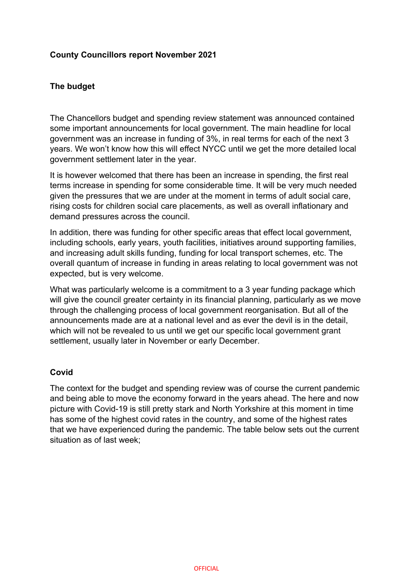## **County Councillors report November 2021**

## **The budget**

The Chancellors budget and spending review statement was announced contained some important announcements for local government. The main headline for local government was an increase in funding of 3%, in real terms for each of the next 3 years. We won't know how this will effect NYCC until we get the more detailed local government settlement later in the year.

It is however welcomed that there has been an increase in spending, the first real terms increase in spending for some considerable time. It will be very much needed given the pressures that we are under at the moment in terms of adult social care, rising costs for children social care placements, as well as overall inflationary and demand pressures across the council.

In addition, there was funding for other specific areas that effect local government, including schools, early years, youth facilities, initiatives around supporting families, and increasing adult skills funding, funding for local transport schemes, etc. The overall quantum of increase in funding in areas relating to local government was not expected, but is very welcome.

What was particularly welcome is a commitment to a 3 year funding package which will give the council greater certainty in its financial planning, particularly as we move through the challenging process of local government reorganisation. But all of the announcements made are at a national level and as ever the devil is in the detail, which will not be revealed to us until we get our specific local government grant settlement, usually later in November or early December.

## **Covid**

The context for the budget and spending review was of course the current pandemic and being able to move the economy forward in the years ahead. The here and now picture with Covid-19 is still pretty stark and North Yorkshire at this moment in time has some of the highest covid rates in the country, and some of the highest rates that we have experienced during the pandemic. The table below sets out the current situation as of last week;